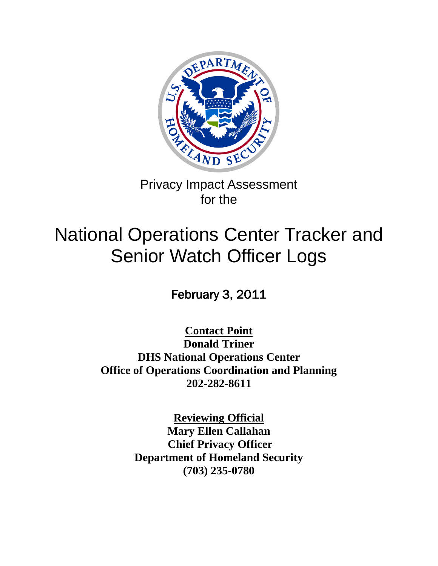

Privacy Impact Assessment for the

# National Operations Center Tracker and Senior Watch Officer Logs

February 3, 2011

**Contact Point**

**Donald Triner DHS National Operations Center Office of Operations Coordination and Planning 202-282-8611**

> **Reviewing Official Mary Ellen Callahan Chief Privacy Officer Department of Homeland Security (703) 235-0780**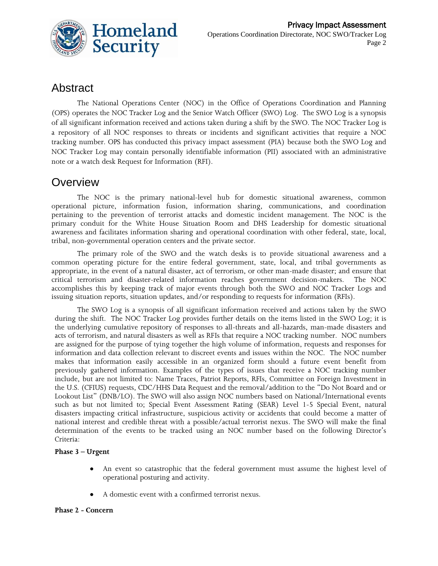

### Abstract

The National Operations Center (NOC) in the Office of Operations Coordination and Planning (OPS) operates the NOC Tracker Log and the Senior Watch Officer (SWO) Log. The SWO Log is a synopsis of all significant information received and actions taken during a shift by the SWO. The NOC Tracker Log is a repository of all NOC responses to threats or incidents and significant activities that require a NOC tracking number. OPS has conducted this privacy impact assessment (PIA) because both the SWO Log and NOC Tracker Log may contain personally identifiable information (PII) associated with an administrative note or a watch desk Request for Information (RFI).

### **Overview**

The NOC is the primary national-level hub for domestic situational awareness, common operational picture, information fusion, information sharing, communications, and coordination pertaining to the prevention of terrorist attacks and domestic incident management. The NOC is the primary conduit for the White House Situation Room and DHS Leadership for domestic situational awareness and facilitates information sharing and operational coordination with other federal, state, local, tribal, non-governmental operation centers and the private sector.

The primary role of the SWO and the watch desks is to provide situational awareness and a common operating picture for the entire federal government, state, local, and tribal governments as appropriate, in the event of a natural disaster, act of terrorism, or other man-made disaster; and ensure that critical terrorism and disaster-related information reaches government decision-makers. The NOC accomplishes this by keeping track of major events through both the SWO and NOC Tracker Logs and issuing situation reports, situation updates, and/or responding to requests for information (RFIs).

The SWO Log is a synopsis of all significant information received and actions taken by the SWO during the shift. The NOC Tracker Log provides further details on the items listed in the SWO Log; it is the underlying cumulative repository of responses to all-threats and all-hazards, man-made disasters and acts of terrorism, and natural disasters as well as RFIs that require a NOC tracking number. NOC numbers are assigned for the purpose of tying together the high volume of information, requests and responses for information and data collection relevant to discreet events and issues within the NOC. The NOC number makes that information easily accessible in an organized form should a future event benefit from previously gathered information. Examples of the types of issues that receive a NOC tracking number include, but are not limited to: Name Traces, Patriot Reports, RFIs, Committee on Foreign Investment in the U.S. (CFIUS) requests, CDC/HHS Data Request and the removal/addition to the "Do Not Board and or Lookout List" (DNB/LO). The SWO will also assign NOC numbers based on National/International events such as but not limited to; Special Event Assessment Rating (SEAR) Level 1-5 Special Event, natural disasters impacting critical infrastructure, suspicious activity or accidents that could become a matter of national interest and credible threat with a possible/actual terrorist nexus. The SWO will make the final determination of the events to be tracked using an NOC number based on the following Director's Criteria:

#### **Phase 3 – Urgent**

- An event so catastrophic that the federal government must assume the highest level of  $\bullet$ operational posturing and activity.
- A domestic event with a confirmed terrorist nexus.

#### **Phase 2 - Concern**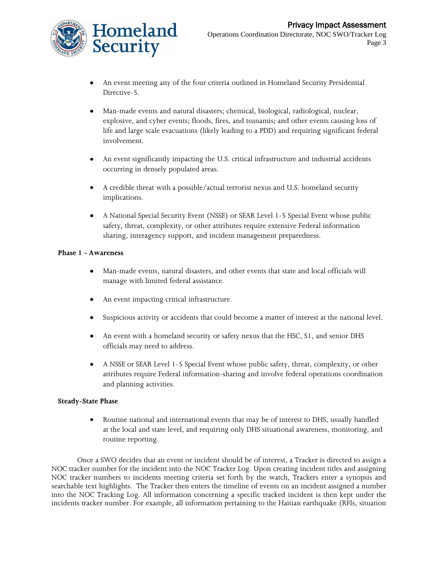

- An event meeting any of the four criteria outlined in Homeland Security Presidential Directive-5.
- $\bullet$ Man-made events and natural disasters; chemical, biological, radiological, nuclear, explosive, and cyber events; floods, fires, and tsunamis; and other events causing loss of life and large scale evacuations (likely leading to a PDD) and requiring significant federal involvement.
- An event significantly impacting the U.S. critical infrastructure and industrial accidents  $\bullet$ occurring in densely populated areas.
- A credible threat with a possible/actual terrorist nexus and U.S. homeland security implications.
- A National Special Security Event (NSSE) or SEAR Level 1-5 Special Event whose public  $\bullet$ safety, threat, complexity, or other attributes require extensive Federal information sharing, interagency support, and incident management preparedness.

#### **Phase 1 - Awareness**

- Man-made events, natural disasters, and other events that state and local officials will  $\bullet$ manage with limited federal assistance.
- An event impacting critical infrastructure.  $\bullet$
- Suspicious activity or accidents that could become a matter of interest at the national level.
- An event with a homeland security or safety nexus that the HSC, S1, and senior DHS  $\bullet$ officials may need to address.
- $\bullet$ A NSSE or SEAR Level 1-5 Special Event whose public safety, threat, complexity, or other attributes require Federal information-sharing and involve federal operations coordination and planning activities.

#### **Steady-State Phase**

 $\bullet$ Routine national and international events that may be of interest to DHS, usually handled at the local and state level, and requiring only DHS situational awareness, monitoring, and routine reporting.

Once a SWO decides that an event or incident should be of interest, a Tracker is directed to assign a NOC tracker number for the incident into the NOC Tracker Log. Upon creating incident titles and assigning NOC tracker numbers to incidents meeting criteria set forth by the watch, Trackers enter a synopsis and searchable text highlights. The Tracker then enters the timeline of events on an incident assigned a number into the NOC Tracking Log. All information concerning a specific tracked incident is then kept under the incidents tracker number. For example, all information pertaining to the Haitian earthquake (RFIs, situation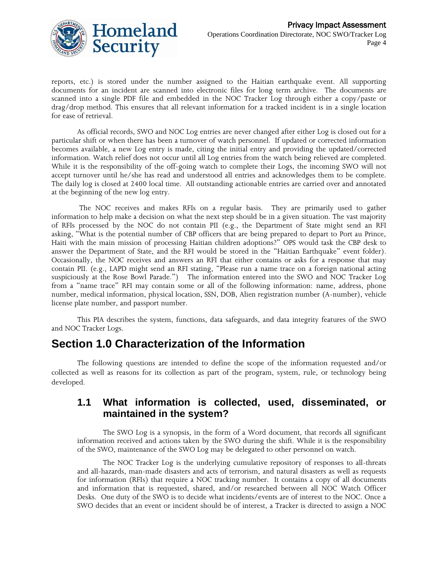

reports, etc.) is stored under the number assigned to the Haitian earthquake event. All supporting documents for an incident are scanned into electronic files for long term archive. The documents are scanned into a single PDF file and embedded in the NOC Tracker Log through either a copy/paste or drag/drop method. This ensures that all relevant information for a tracked incident is in a single location for ease of retrieval.

As official records, SWO and NOC Log entries are never changed after either Log is closed out for a particular shift or when there has been a turnover of watch personnel. If updated or corrected information becomes available, a new Log entry is made, citing the initial entry and providing the updated/corrected information. Watch relief does not occur until all Log entries from the watch being relieved are completed. While it is the responsibility of the off-going watch to complete their Logs, the incoming SWO will not accept turnover until he/she has read and understood all entries and acknowledges them to be complete. The daily log is closed at 2400 local time. All outstanding actionable entries are carried over and annotated at the beginning of the new log entry.

The NOC receives and makes RFIs on a regular basis. They are primarily used to gather information to help make a decision on what the next step should be in a given situation. The vast majority of RFIs processed by the NOC do not contain PII (e.g., the Department of State might send an RFI asking, "What is the potential number of CBP officers that are being prepared to depart to Port au Prince, Haiti with the main mission of processing Haitian children adoptions?" OPS would task the CBP desk to answer the Department of State, and the RFI would be stored in the "Haitian Earthquake" event folder). Occasionally, the NOC receives and answers an RFI that either contains or asks for a response that may contain PII. (e.g., LAPD might send an RFI stating, "Please run a name trace on a foreign national acting suspiciously at the Rose Bowl Parade.") The information entered into the SWO and NOC Tracker Log from a "name trace" RFI may contain some or all of the following information: name, address, phone number, medical information, physical location, SSN, DOB, Alien registration number (A-number), vehicle license plate number, and passport number.

This PIA describes the system, functions, data safeguards, and data integrity features of the SWO and NOC Tracker Logs.

### **Section 1.0 Characterization of the Information**

The following questions are intended to define the scope of the information requested and/or collected as well as reasons for its collection as part of the program, system, rule, or technology being developed.

#### **1.1 What information is collected, used, disseminated, or maintained in the system?**

The SWO Log is a synopsis, in the form of a Word document, that records all significant information received and actions taken by the SWO during the shift. While it is the responsibility of the SWO, maintenance of the SWO Log may be delegated to other personnel on watch.

The NOC Tracker Log is the underlying cumulative repository of responses to all-threats and all-hazards, man-made disasters and acts of terrorism, and natural disasters as well as requests for information (RFIs) that require a NOC tracking number. It contains a copy of all documents and information that is requested, shared, and/or researched between all NOC Watch Officer Desks. One duty of the SWO is to decide what incidents/events are of interest to the NOC. Once a SWO decides that an event or incident should be of interest, a Tracker is directed to assign a NOC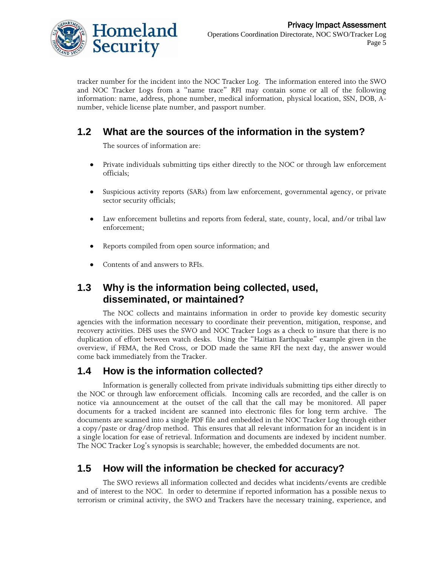

tracker number for the incident into the NOC Tracker Log. The information entered into the SWO and NOC Tracker Logs from a "name trace" RFI may contain some or all of the following information: name, address, phone number, medical information, physical location, SSN, DOB, Anumber, vehicle license plate number, and passport number.

### **1.2 What are the sources of the information in the system?**

The sources of information are:

- Private individuals submitting tips either directly to the NOC or through law enforcement  $\bullet$ officials;
- $\bullet$ Suspicious activity reports (SARs) from law enforcement, governmental agency, or private sector security officials;
- $\bullet$ Law enforcement bulletins and reports from federal, state, county, local, and/or tribal law enforcement;
- Reports compiled from open source information; and  $\bullet$
- Contents of and answers to RFIs.

#### **1.3 Why is the information being collected, used, disseminated, or maintained?**

The NOC collects and maintains information in order to provide key domestic security agencies with the information necessary to coordinate their prevention, mitigation, response, and recovery activities. DHS uses the SWO and NOC Tracker Logs as a check to insure that there is no duplication of effort between watch desks. Using the "Haitian Earthquake" example given in the overview, if FEMA, the Red Cross, or DOD made the same RFI the next day, the answer would come back immediately from the Tracker.

### **1.4 How is the information collected?**

Information is generally collected from private individuals submitting tips either directly to the NOC or through law enforcement officials. Incoming calls are recorded, and the caller is on notice via announcement at the outset of the call that the call may be monitored. All paper documents for a tracked incident are scanned into electronic files for long term archive. The documents are scanned into a single PDF file and embedded in the NOC Tracker Log through either a copy/paste or drag/drop method. This ensures that all relevant information for an incident is in a single location for ease of retrieval. Information and documents are indexed by incident number. The NOC Tracker Log's synopsis is searchable; however, the embedded documents are not.

### **1.5 How will the information be checked for accuracy?**

The SWO reviews all information collected and decides what incidents/events are credible and of interest to the NOC. In order to determine if reported information has a possible nexus to terrorism or criminal activity, the SWO and Trackers have the necessary training, experience, and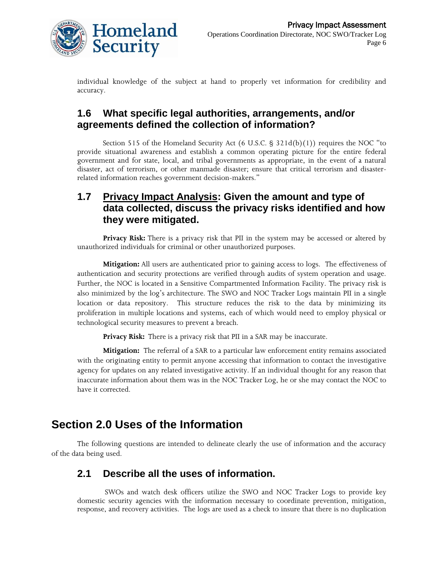

individual knowledge of the subject at hand to properly vet information for credibility and accuracy.

#### **1.6 What specific legal authorities, arrangements, and/or agreements defined the collection of information?**

Section 515 of the Homeland Security Act  $(6 \text{ U.S.C. } § 321d(b)(1))$  requires the NOC "to provide situational awareness and establish a common operating picture for the entire federal government and for state, local, and tribal governments as appropriate, in the event of a natural disaster, act of terrorism, or other manmade disaster; ensure that critical terrorism and disasterrelated information reaches government decision-makers."

#### **1.7 Privacy Impact Analysis: Given the amount and type of data collected, discuss the privacy risks identified and how they were mitigated.**

**Privacy Risk:** There is a privacy risk that PII in the system may be accessed or altered by unauthorized individuals for criminal or other unauthorized purposes.

**Mitigation:** All users are authenticated prior to gaining access to logs. The effectiveness of authentication and security protections are verified through audits of system operation and usage. Further, the NOC is located in a Sensitive Compartmented Information Facility. The privacy risk is also minimized by the log's architecture. The SWO and NOC Tracker Logs maintain PII in a single location or data repository. This structure reduces the risk to the data by minimizing its proliferation in multiple locations and systems, each of which would need to employ physical or technological security measures to prevent a breach.

**Privacy Risk:** There is a privacy risk that PII in a SAR may be inaccurate.

**Mitigation:** The referral of a SAR to a particular law enforcement entity remains associated with the originating entity to permit anyone accessing that information to contact the investigative agency for updates on any related investigative activity. If an individual thought for any reason that inaccurate information about them was in the NOC Tracker Log, he or she may contact the NOC to have it corrected.

### **Section 2.0 Uses of the Information**

The following questions are intended to delineate clearly the use of information and the accuracy of the data being used.

#### **2.1 Describe all the uses of information.**

SWOs and watch desk officers utilize the SWO and NOC Tracker Logs to provide key domestic security agencies with the information necessary to coordinate prevention, mitigation, response, and recovery activities. The logs are used as a check to insure that there is no duplication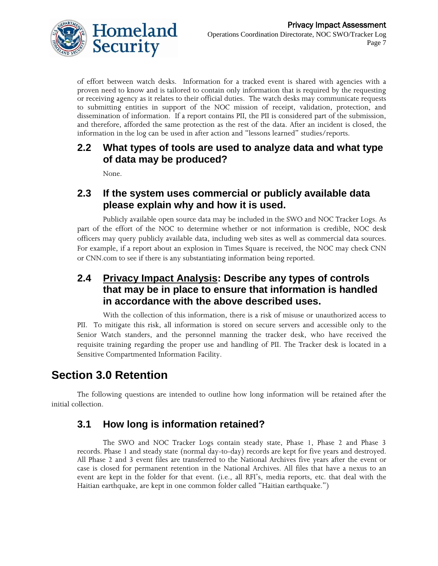

of effort between watch desks. Information for a tracked event is shared with agencies with a proven need to know and is tailored to contain only information that is required by the requesting or receiving agency as it relates to their official duties. The watch desks may communicate requests to submitting entities in support of the NOC mission of receipt, validation, protection, and dissemination of information. If a report contains PII, the PII is considered part of the submission, and therefore, afforded the same protection as the rest of the data. After an incident is closed, the information in the log can be used in after action and "lessons learned" studies/reports.

#### **2.2 What types of tools are used to analyze data and what type of data may be produced?**

None.

#### **2.3 If the system uses commercial or publicly available data please explain why and how it is used.**

Publicly available open source data may be included in the SWO and NOC Tracker Logs. As part of the effort of the NOC to determine whether or not information is credible, NOC desk officers may query publicly available data, including web sites as well as commercial data sources. For example, if a report about an explosion in Times Square is received, the NOC may check CNN or CNN.com to see if there is any substantiating information being reported.

#### **2.4 Privacy Impact Analysis: Describe any types of controls that may be in place to ensure that information is handled in accordance with the above described uses.**

With the collection of this information, there is a risk of misuse or unauthorized access to PII. To mitigate this risk, all information is stored on secure servers and accessible only to the Senior Watch standers, and the personnel manning the tracker desk, who have received the requisite training regarding the proper use and handling of PII. The Tracker desk is located in a Sensitive Compartmented Information Facility.

# **Section 3.0 Retention**

The following questions are intended to outline how long information will be retained after the initial collection.

### **3.1 How long is information retained?**

The SWO and NOC Tracker Logs contain steady state, Phase 1, Phase 2 and Phase 3 records. Phase 1 and steady state (normal day-to-day) records are kept for five years and destroyed. All Phase 2 and 3 event files are transferred to the National Archives five years after the event or case is closed for permanent retention in the National Archives. All files that have a nexus to an event are kept in the folder for that event. (i.e., all RFI's, media reports, etc. that deal with the Haitian earthquake, are kept in one common folder called "Haitian earthquake.")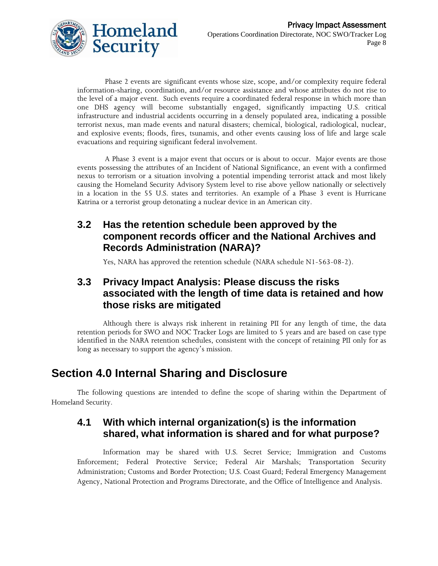

Phase 2 events are significant events whose size, scope, and/or complexity require federal information-sharing, coordination, and/or resource assistance and whose attributes do not rise to the level of a major event. Such events require a coordinated federal response in which more than one DHS agency will become substantially engaged, significantly impacting U.S. critical infrastructure and industrial accidents occurring in a densely populated area, indicating a possible terrorist nexus, man made events and natural disasters; chemical, biological, radiological, nuclear, and explosive events; floods, fires, tsunamis, and other events causing loss of life and large scale evacuations and requiring significant federal involvement.

A Phase 3 event is a major event that occurs or is about to occur. Major events are those events possessing the attributes of an Incident of National Significance, an event with a confirmed nexus to terrorism or a situation involving a potential impending terrorist attack and most likely causing the Homeland Security Advisory System level to rise above yellow nationally or selectively in a location in the 55 U.S. states and territories. An example of a Phase 3 event is Hurricane Katrina or a terrorist group detonating a nuclear device in an American city.

#### **3.2 Has the retention schedule been approved by the component records officer and the National Archives and Records Administration (NARA)?**

Yes, NARA has approved the retention schedule (NARA schedule N1-563-08-2).

#### **3.3 Privacy Impact Analysis: Please discuss the risks associated with the length of time data is retained and how those risks are mitigated**

Although there is always risk inherent in retaining PII for any length of time, the data retention periods for SWO and NOC Tracker Logs are limited to 5 years and are based on case type identified in the NARA retention schedules, consistent with the concept of retaining PII only for as long as necessary to support the agency's mission.

### **Section 4.0 Internal Sharing and Disclosure**

The following questions are intended to define the scope of sharing within the Department of Homeland Security.

#### **4.1 With which internal organization(s) is the information shared, what information is shared and for what purpose?**

Information may be shared with U.S. Secret Service; Immigration and Customs Enforcement; Federal Protective Service; Federal Air Marshals; Transportation Security Administration; Customs and Border Protection; U.S. Coast Guard; Federal Emergency Management Agency, National Protection and Programs Directorate, and the Office of Intelligence and Analysis.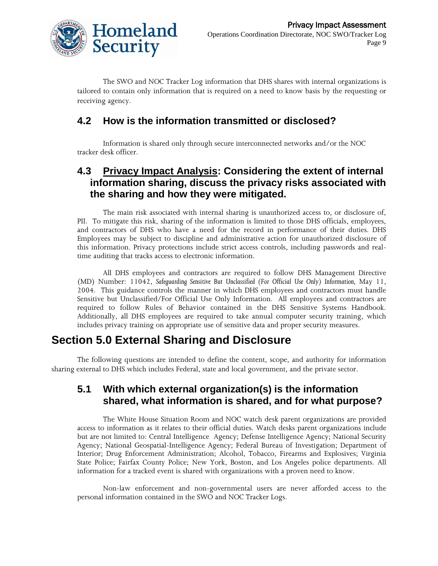

The SWO and NOC Tracker Log information that DHS shares with internal organizations is tailored to contain only information that is required on a need to know basis by the requesting or receiving agency.

#### **4.2 How is the information transmitted or disclosed?**

Information is shared only through secure interconnected networks and/or the NOC tracker desk officer.

#### **4.3 Privacy Impact Analysis: Considering the extent of internal information sharing, discuss the privacy risks associated with the sharing and how they were mitigated.**

The main risk associated with internal sharing is unauthorized access to, or disclosure of, PII. To mitigate this risk, sharing of the information is limited to those DHS officials, employees, and contractors of DHS who have a need for the record in performance of their duties. DHS Employees may be subject to discipline and administrative action for unauthorized disclosure of this information. Privacy protections include strict access controls, including passwords and realtime auditing that tracks access to electronic information.

All DHS employees and contractors are required to follow DHS Management Directive (MD) Number: 11042, *Safeguarding Sensitive But Unclassified* (For Official Use Only) Information, May 11, 2004. This guidance controls the manner in which DHS employees and contractors must handle Sensitive but Unclassified/For Official Use Only Information. All employees and contractors are required to follow Rules of Behavior contained in the DHS Sensitive Systems Handbook. Additionally, all DHS employees are required to take annual computer security training, which includes privacy training on appropriate use of sensitive data and proper security measures.

### **Section 5.0 External Sharing and Disclosure**

The following questions are intended to define the content, scope, and authority for information sharing external to DHS which includes Federal, state and local government, and the private sector.

#### **5.1 With which external organization(s) is the information shared, what information is shared, and for what purpose?**

The White House Situation Room and NOC watch desk parent organizations are provided access to information as it relates to their official duties. Watch desks parent organizations include but are not limited to: Central Intelligence Agency; Defense Intelligence Agency; National Security Agency; National Geospatial-Intelligence Agency; Federal Bureau of Investigation; Department of Interior; Drug Enforcement Administration; Alcohol, Tobacco, Firearms and Explosives; Virginia State Police; Fairfax County Police; New York, Boston, and Los Angeles police departments. All information for a tracked event is shared with organizations with a proven need to know.

Non-law enforcement and non-governmental users are never afforded access to the personal information contained in the SWO and NOC Tracker Logs.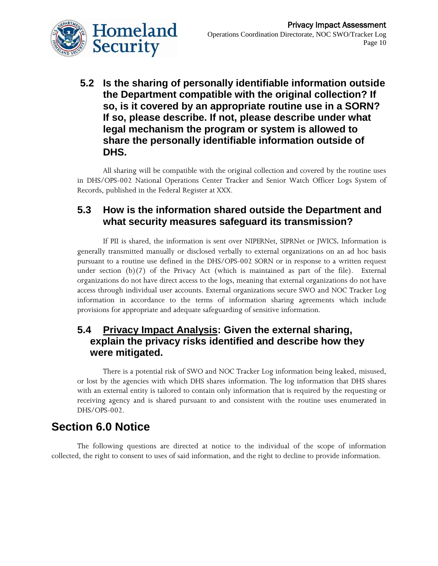

**5.2 Is the sharing of personally identifiable information outside the Department compatible with the original collection? If so, is it covered by an appropriate routine use in a SORN? If so, please describe. If not, please describe under what legal mechanism the program or system is allowed to share the personally identifiable information outside of DHS.**

All sharing will be compatible with the original collection and covered by the routine uses in DHS/OPS-002 National Operations Center Tracker and Senior Watch Officer Logs System of Records, published in the Federal Register at XXX.

#### **5.3 How is the information shared outside the Department and what security measures safeguard its transmission?**

If PII is shared, the information is sent over NIPERNet, SIPRNet or JWICS. Information is generally transmitted manually or disclosed verbally to external organizations on an ad hoc basis pursuant to a routine use defined in the DHS/OPS-002 SORN or in response to a written request under section (b)(7) of the Privacy Act (which is maintained as part of the file). External organizations do not have direct access to the logs, meaning that external organizations do not have access through individual user accounts. External organizations secure SWO and NOC Tracker Log information in accordance to the terms of information sharing agreements which include provisions for appropriate and adequate safeguarding of sensitive information.

#### **5.4 Privacy Impact Analysis: Given the external sharing, explain the privacy risks identified and describe how they were mitigated.**

There is a potential risk of SWO and NOC Tracker Log information being leaked, misused, or lost by the agencies with which DHS shares information. The log information that DHS shares with an external entity is tailored to contain only information that is required by the requesting or receiving agency and is shared pursuant to and consistent with the routine uses enumerated in DHS/OPS-002.

### **Section 6.0 Notice**

The following questions are directed at notice to the individual of the scope of information collected, the right to consent to uses of said information, and the right to decline to provide information.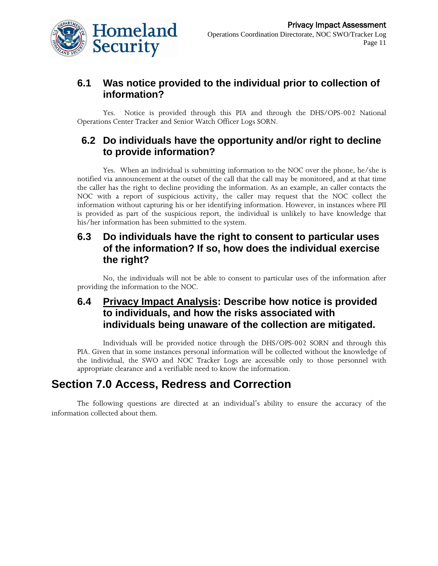

#### **6.1 Was notice provided to the individual prior to collection of information?**

Yes. Notice is provided through this PIA and through the DHS/OPS-002 National Operations Center Tracker and Senior Watch Officer Logs SORN.

#### **6.2 Do individuals have the opportunity and/or right to decline to provide information?**

Yes. When an individual is submitting information to the NOC over the phone, he/she is notified via announcement at the outset of the call that the call may be monitored, and at that time the caller has the right to decline providing the information. As an example, an caller contacts the NOC with a report of suspicious activity, the caller may request that the NOC collect the information without capturing his or her identifying information. However, in instances where PII is provided as part of the suspicious report, the individual is unlikely to have knowledge that his/her information has been submitted to the system.

#### **6.3 Do individuals have the right to consent to particular uses of the information? If so, how does the individual exercise the right?**

No, the individuals will not be able to consent to particular uses of the information after providing the information to the NOC.

#### **6.4 Privacy Impact Analysis: Describe how notice is provided to individuals, and how the risks associated with individuals being unaware of the collection are mitigated.**

Individuals will be provided notice through the DHS/OPS-002 SORN and through this PIA. Given that in some instances personal information will be collected without the knowledge of the individual, the SWO and NOC Tracker Logs are accessible only to those personnel with appropriate clearance and a verifiable need to know the information.

### **Section 7.0 Access, Redress and Correction**

The following questions are directed at an individual's ability to ensure the accuracy of the information collected about them.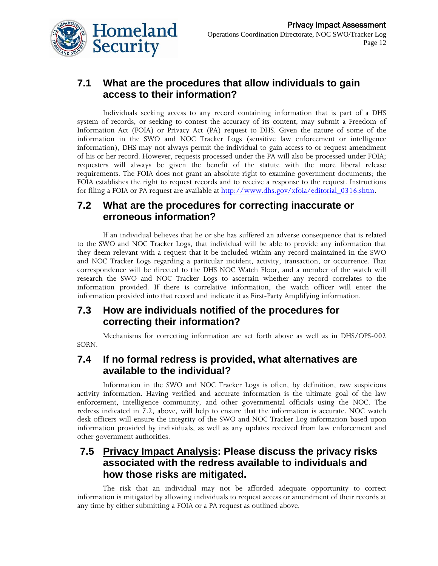

#### **7.1 What are the procedures that allow individuals to gain access to their information?**

Individuals seeking access to any record containing information that is part of a DHS system of records, or seeking to contest the accuracy of its content, may submit a Freedom of Information Act (FOIA) or Privacy Act (PA) request to DHS. Given the nature of some of the information in the SWO and NOC Tracker Logs (sensitive law enforcement or intelligence information), DHS may not always permit the individual to gain access to or request amendment of his or her record. However, requests processed under the PA will also be processed under FOIA; requesters will always be given the benefit of the statute with the more liberal release requirements. The FOIA does not grant an absolute right to examine government documents; the FOIA establishes the right to request records and to receive a response to the request. Instructions for filing a FOIA or PA request are available at http://www.dhs.gov/xfoia/editorial 0316.shtm.

#### **7.2 What are the procedures for correcting inaccurate or erroneous information?**

If an individual believes that he or she has suffered an adverse consequence that is related to the SWO and NOC Tracker Logs, that individual will be able to provide any information that they deem relevant with a request that it be included within any record maintained in the SWO and NOC Tracker Logs regarding a particular incident, activity, transaction, or occurrence. That correspondence will be directed to the DHS NOC Watch Floor, and a member of the watch will research the SWO and NOC Tracker Logs to ascertain whether any record correlates to the information provided. If there is correlative information, the watch officer will enter the information provided into that record and indicate it as First-Party Amplifying information.

#### **7.3 How are individuals notified of the procedures for correcting their information?**

Mechanisms for correcting information are set forth above as well as in DHS/OPS-002 SORN.

#### **7.4 If no formal redress is provided, what alternatives are available to the individual?**

Information in the SWO and NOC Tracker Logs is often, by definition, raw suspicious activity information. Having verified and accurate information is the ultimate goal of the law enforcement, intelligence community, and other governmental officials using the NOC. The redress indicated in 7.2, above, will help to ensure that the information is accurate. NOC watch desk officers will ensure the integrity of the SWO and NOC Tracker Log information based upon information provided by individuals, as well as any updates received from law enforcement and other government authorities.

#### **7.5 Privacy Impact Analysis: Please discuss the privacy risks associated with the redress available to individuals and how those risks are mitigated.**

The risk that an individual may not be afforded adequate opportunity to correct information is mitigated by allowing individuals to request access or amendment of their records at any time by either submitting a FOIA or a PA request as outlined above.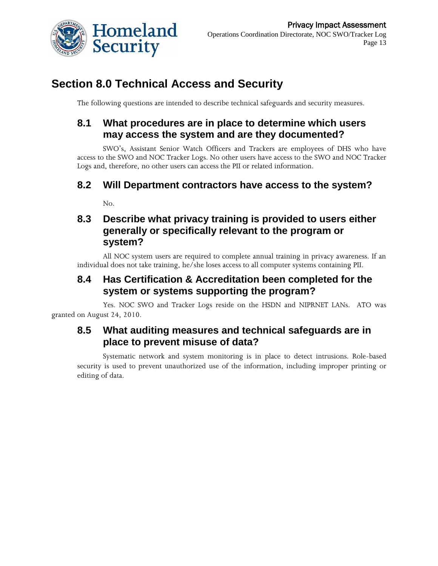

# **Section 8.0 Technical Access and Security**

The following questions are intended to describe technical safeguards and security measures.

#### **8.1 What procedures are in place to determine which users may access the system and are they documented?**

SWO's, Assistant Senior Watch Officers and Trackers are employees of DHS who have access to the SWO and NOC Tracker Logs. No other users have access to the SWO and NOC Tracker Logs and, therefore, no other users can access the PII or related information.

#### **8.2 Will Department contractors have access to the system?**

No.

#### **8.3 Describe what privacy training is provided to users either generally or specifically relevant to the program or system?**

All NOC system users are required to complete annual training in privacy awareness. If an individual does not take training, he/she loses access to all computer systems containing PII.

#### **8.4 Has Certification & Accreditation been completed for the system or systems supporting the program?**

Yes. NOC SWO and Tracker Logs reside on the HSDN and NIPRNET LANs. ATO was granted on August 24, 2010.

#### **8.5 What auditing measures and technical safeguards are in place to prevent misuse of data?**

Systematic network and system monitoring is in place to detect intrusions. Role-based security is used to prevent unauthorized use of the information, including improper printing or editing of data.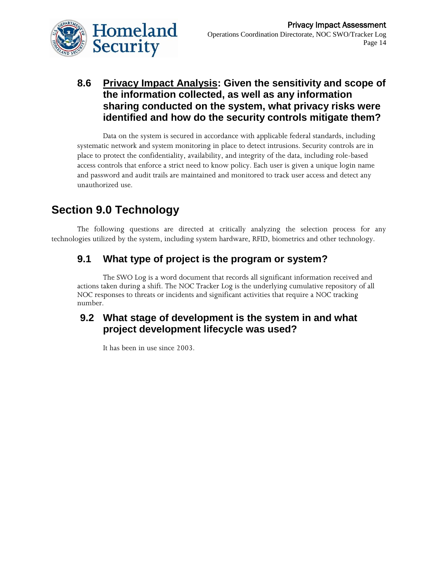

### **8.6 Privacy Impact Analysis: Given the sensitivity and scope of the information collected, as well as any information sharing conducted on the system, what privacy risks were identified and how do the security controls mitigate them?**

Data on the system is secured in accordance with applicable federal standards, including systematic network and system monitoring in place to detect intrusions. Security controls are in place to protect the confidentiality, availability, and integrity of the data, including role-based access controls that enforce a strict need to know policy. Each user is given a unique login name and password and audit trails are maintained and monitored to track user access and detect any unauthorized use.

# **Section 9.0 Technology**

The following questions are directed at critically analyzing the selection process for any technologies utilized by the system, including system hardware, RFID, biometrics and other technology.

### **9.1 What type of project is the program or system?**

The SWO Log is a word document that records all significant information received and actions taken during a shift. The NOC Tracker Log is the underlying cumulative repository of all NOC responses to threats or incidents and significant activities that require a NOC tracking number.

#### **9.2 What stage of development is the system in and what project development lifecycle was used?**

It has been in use since 2003.